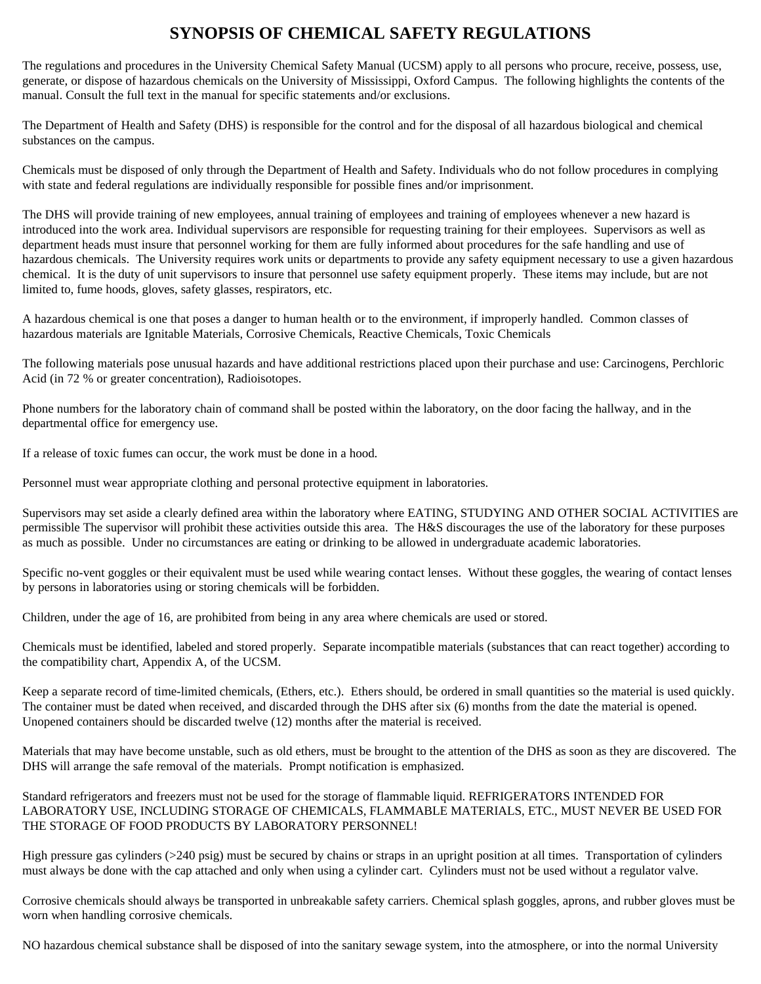## **SYNOPSIS OF CHEMICAL SAFETY REGULATIONS**

The regulations and procedures in the University Chemical Safety Manual (UCSM) apply to all persons who procure, receive, possess, use, generate, or dispose of hazardous chemicals on the University of Mississippi, Oxford Campus. The following highlights the contents of the manual. Consult the full text in the manual for specific statements and/or exclusions.

The Department of Health and Safety (DHS) is responsible for the control and for the disposal of all hazardous biological and chemical substances on the campus.

Chemicals must be disposed of only through the Department of Health and Safety. Individuals who do not follow procedures in complying with state and federal regulations are individually responsible for possible fines and/or imprisonment.

The DHS will provide training of new employees, annual training of employees and training of employees whenever a new hazard is introduced into the work area. Individual supervisors are responsible for requesting training for their employees. Supervisors as well as department heads must insure that personnel working for them are fully informed about procedures for the safe handling and use of hazardous chemicals. The University requires work units or departments to provide any safety equipment necessary to use a given hazardous chemical. It is the duty of unit supervisors to insure that personnel use safety equipment properly. These items may include, but are not limited to, fume hoods, gloves, safety glasses, respirators, etc.

A hazardous chemical is one that poses a danger to human health or to the environment, if improperly handled. Common classes of hazardous materials are Ignitable Materials, Corrosive Chemicals, Reactive Chemicals, Toxic Chemicals

The following materials pose unusual hazards and have additional restrictions placed upon their purchase and use: Carcinogens, Perchloric Acid (in 72 % or greater concentration), Radioisotopes.

Phone numbers for the laboratory chain of command shall be posted within the laboratory, on the door facing the hallway, and in the departmental office for emergency use.

If a release of toxic fumes can occur, the work must be done in a hood.

Personnel must wear appropriate clothing and personal protective equipment in laboratories.

Supervisors may set aside a clearly defined area within the laboratory where EATING, STUDYING AND OTHER SOCIAL ACTIVITIES are permissible The supervisor will prohibit these activities outside this area. The H&S discourages the use of the laboratory for these purposes as much as possible. Under no circumstances are eating or drinking to be allowed in undergraduate academic laboratories.

Specific no-vent goggles or their equivalent must be used while wearing contact lenses. Without these goggles, the wearing of contact lenses by persons in laboratories using or storing chemicals will be forbidden.

Children, under the age of 16, are prohibited from being in any area where chemicals are used or stored.

Chemicals must be identified, labeled and stored properly. Separate incompatible materials (substances that can react together) according to the compatibility chart, Appendix A, of the UCSM.

Keep a separate record of time-limited chemicals, (Ethers, etc.). Ethers should, be ordered in small quantities so the material is used quickly. The container must be dated when received, and discarded through the DHS after six (6) months from the date the material is opened. Unopened containers should be discarded twelve (12) months after the material is received.

Materials that may have become unstable, such as old ethers, must be brought to the attention of the DHS as soon as they are discovered. The DHS will arrange the safe removal of the materials. Prompt notification is emphasized.

Standard refrigerators and freezers must not be used for the storage of flammable liquid. REFRIGERATORS INTENDED FOR LABORATORY USE, INCLUDING STORAGE OF CHEMICALS, FLAMMABLE MATERIALS, ETC., MUST NEVER BE USED FOR THE STORAGE OF FOOD PRODUCTS BY LABORATORY PERSONNEL!

High pressure gas cylinders (>240 psig) must be secured by chains or straps in an upright position at all times. Transportation of cylinders must always be done with the cap attached and only when using a cylinder cart. Cylinders must not be used without a regulator valve.

Corrosive chemicals should always be transported in unbreakable safety carriers. Chemical splash goggles, aprons, and rubber gloves must be worn when handling corrosive chemicals.

NO hazardous chemical substance shall be disposed of into the sanitary sewage system, into the atmosphere, or into the normal University